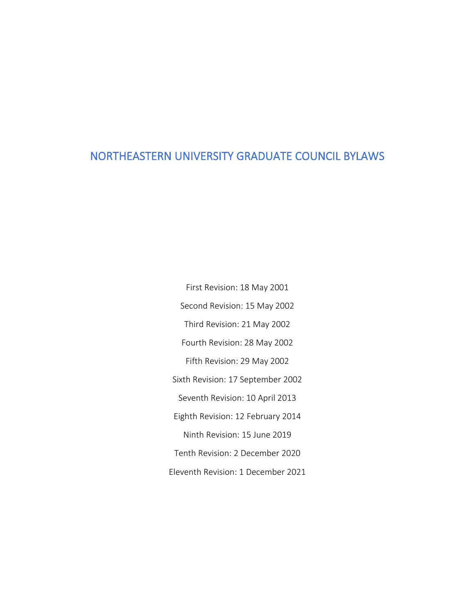# NORTHEASTERN UNIVERSITY GRADUATE COUNCIL BYLAWS

Second Revision: 15 May 2002 Third Revision: 21 May 2002 Fourth Revision: 28 May 2002 Fifth Revision: 29 May 2002 Sixth Revision: 17 September 2002 Seventh Revision: 10 April 2013 Eighth Revision: 12 February 2014 Ninth Revision: 15 June 2019 Tenth Revision: 2 December 2020 Eleventh Revision: 1 December 2021

First Revision: 18 May 2001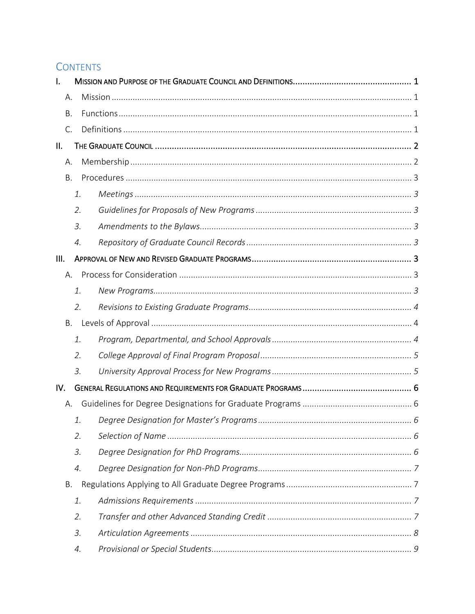# **CONTENTS**

| I.   |    |  |
|------|----|--|
| А.   |    |  |
| Β.   |    |  |
| C.   |    |  |
| Ш.   |    |  |
| А.   |    |  |
| Β.   |    |  |
|      | 1. |  |
|      | 2. |  |
|      | 3. |  |
|      | 4. |  |
| III. |    |  |
| А.   |    |  |
|      | 1. |  |
|      | 2. |  |
| Β.   |    |  |
|      | 1. |  |
|      | 2. |  |
|      | 3. |  |
| IV.  |    |  |
| А.   |    |  |
|      | 1. |  |
|      | 2. |  |
|      | 3. |  |
|      | 4. |  |
| Β.   |    |  |
|      | 1. |  |
|      | 2. |  |
|      | 3. |  |
|      |    |  |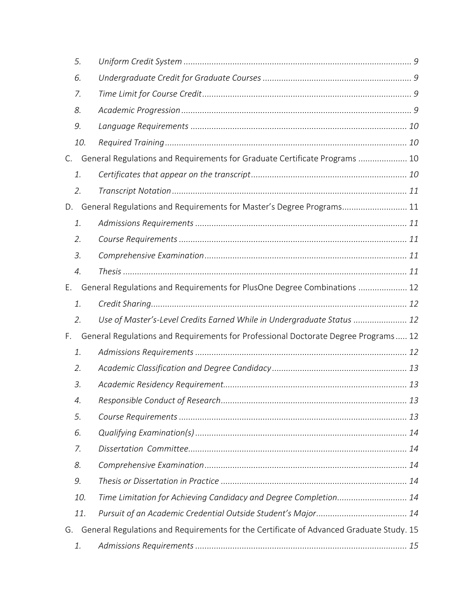| 5.                                                                                            |                                                                                    |  |  |  |  |  |  |
|-----------------------------------------------------------------------------------------------|------------------------------------------------------------------------------------|--|--|--|--|--|--|
| 6.                                                                                            |                                                                                    |  |  |  |  |  |  |
| 7.                                                                                            |                                                                                    |  |  |  |  |  |  |
| 8.                                                                                            |                                                                                    |  |  |  |  |  |  |
| 9.                                                                                            |                                                                                    |  |  |  |  |  |  |
| 10.                                                                                           |                                                                                    |  |  |  |  |  |  |
| C.                                                                                            | General Regulations and Requirements for Graduate Certificate Programs  10         |  |  |  |  |  |  |
| 1.                                                                                            |                                                                                    |  |  |  |  |  |  |
| 2.                                                                                            |                                                                                    |  |  |  |  |  |  |
| D.                                                                                            | General Regulations and Requirements for Master's Degree Programs 11               |  |  |  |  |  |  |
| 1.                                                                                            |                                                                                    |  |  |  |  |  |  |
| 2.                                                                                            |                                                                                    |  |  |  |  |  |  |
| 3.                                                                                            |                                                                                    |  |  |  |  |  |  |
| $\mathcal{A}$ .                                                                               |                                                                                    |  |  |  |  |  |  |
| Ε.                                                                                            | General Regulations and Requirements for PlusOne Degree Combinations  12           |  |  |  |  |  |  |
| 1.                                                                                            |                                                                                    |  |  |  |  |  |  |
| 2.                                                                                            | Use of Master's-Level Credits Earned While in Undergraduate Status  12             |  |  |  |  |  |  |
| F.                                                                                            | General Regulations and Requirements for Professional Doctorate Degree Programs 12 |  |  |  |  |  |  |
| 1.                                                                                            |                                                                                    |  |  |  |  |  |  |
| 2.                                                                                            |                                                                                    |  |  |  |  |  |  |
| 3.                                                                                            |                                                                                    |  |  |  |  |  |  |
| 4.                                                                                            |                                                                                    |  |  |  |  |  |  |
| 5.                                                                                            |                                                                                    |  |  |  |  |  |  |
| 6.                                                                                            |                                                                                    |  |  |  |  |  |  |
| 7.                                                                                            |                                                                                    |  |  |  |  |  |  |
| 8.                                                                                            |                                                                                    |  |  |  |  |  |  |
| 9.                                                                                            |                                                                                    |  |  |  |  |  |  |
| 10.                                                                                           | Time Limitation for Achieving Candidacy and Degree Completion 14                   |  |  |  |  |  |  |
| 11.                                                                                           |                                                                                    |  |  |  |  |  |  |
| General Regulations and Requirements for the Certificate of Advanced Graduate Study. 15<br>G. |                                                                                    |  |  |  |  |  |  |
| 1.                                                                                            |                                                                                    |  |  |  |  |  |  |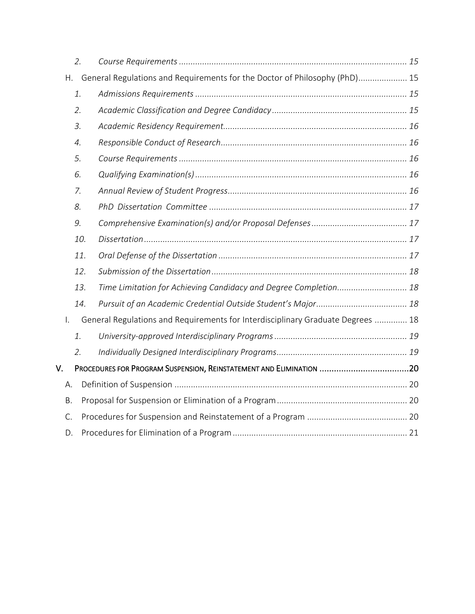|    | 2.               |     |                                                                                 |  |
|----|------------------|-----|---------------------------------------------------------------------------------|--|
|    | $H_{\star}$      |     | General Regulations and Requirements for the Doctor of Philosophy (PhD) 15      |  |
|    | 1.               |     |                                                                                 |  |
|    | 2.               |     |                                                                                 |  |
|    | 3.               |     |                                                                                 |  |
|    | $\overline{4}$ . |     |                                                                                 |  |
|    | 5.               |     |                                                                                 |  |
|    | 6.               |     |                                                                                 |  |
|    | 7.               |     |                                                                                 |  |
|    | 8.               |     |                                                                                 |  |
|    | 9.               |     |                                                                                 |  |
|    |                  | 10. |                                                                                 |  |
|    |                  | 11. |                                                                                 |  |
|    |                  | 12. |                                                                                 |  |
|    |                  | 13. | Time Limitation for Achieving Candidacy and Degree Completion 18                |  |
|    |                  | 14. |                                                                                 |  |
| I. |                  |     | General Regulations and Requirements for Interdisciplinary Graduate Degrees  18 |  |
|    | 1.               |     |                                                                                 |  |
|    | 2.               |     |                                                                                 |  |
| V. |                  |     |                                                                                 |  |
|    | А.               |     |                                                                                 |  |
|    | <b>B.</b>        |     |                                                                                 |  |
|    | C.               |     |                                                                                 |  |
|    | D.               |     |                                                                                 |  |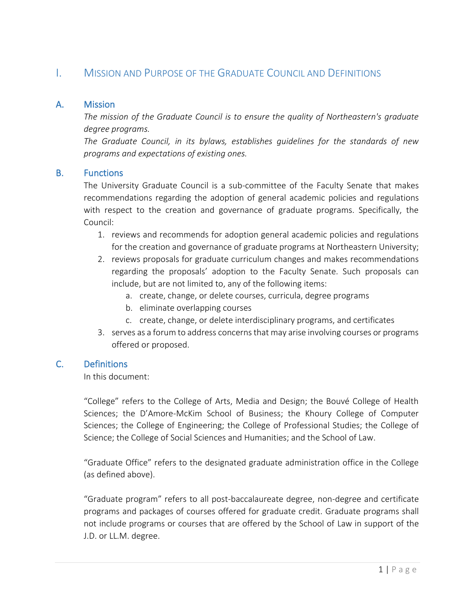# <span id="page-4-0"></span>I. MISSION AND PURPOSE OF THE GRADUATE COUNCIL AND DEFINITIONS

## <span id="page-4-1"></span>A. Mission

*The mission of the Graduate Council is to ensure the quality of Northeastern's graduate degree programs.*

*The Graduate Council, in its bylaws, establishes guidelines for the standards of new programs and expectations of existing ones.*

## <span id="page-4-2"></span>B. Functions

The University Graduate Council is a sub-committee of the Faculty Senate that makes recommendations regarding the adoption of general academic policies and regulations with respect to the creation and governance of graduate programs. Specifically, the Council:

- 1. reviews and recommends for adoption general academic policies and regulations for the creation and governance of graduate programs at Northeastern University;
- 2. reviews proposals for graduate curriculum changes and makes recommendations regarding the proposals' adoption to the Faculty Senate. Such proposals can include, but are not limited to, any of the following items:
	- a. create, change, or delete courses, curricula, degree programs
	- b. eliminate overlapping courses
	- c. create, change, or delete interdisciplinary programs, and certificates
- 3. serves as a forum to address concerns that may arise involving courses or programs offered or proposed.

# <span id="page-4-3"></span>C. Definitions

In this document:

"College" refers to the College of Arts, Media and Design; the Bouvé College of Health Sciences; the D'Amore-McKim School of Business; the Khoury College of Computer Sciences; the College of Engineering; the College of Professional Studies; the College of Science; the College of Social Sciences and Humanities; and the School of Law.

"Graduate Office" refers to the designated graduate administration office in the College (as defined above).

"Graduate program" refers to all post-baccalaureate degree, non-degree and certificate programs and packages of courses offered for graduate credit. Graduate programs shall not include programs or courses that are offered by the School of Law in support of the J.D. or LL.M. degree.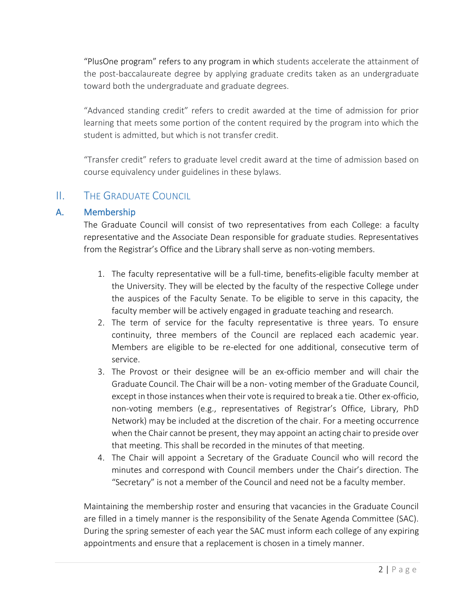"PlusOne program" refers to any program in which students accelerate the attainment of the post-baccalaureate degree by applying graduate credits taken as an undergraduate toward both the undergraduate and graduate degrees.

"Advanced standing credit" refers to credit awarded at the time of admission for prior learning that meets some portion of the content required by the program into which the student is admitted, but which is not transfer credit.

"Transfer credit" refers to graduate level credit award at the time of admission based on course equivalency under guidelines in these bylaws.

# <span id="page-5-0"></span>II. THE GRADUATE COUNCIL

# <span id="page-5-1"></span>A. Membership

The Graduate Council will consist of two representatives from each College: a faculty representative and the Associate Dean responsible for graduate studies. Representatives from the Registrar's Office and the Library shall serve as non-voting members.

- 1. The faculty representative will be a full-time, benefits-eligible faculty member at the University. They will be elected by the faculty of the respective College under the auspices of the Faculty Senate. To be eligible to serve in this capacity, the faculty member will be actively engaged in graduate teaching and research.
- 2. The term of service for the faculty representative is three years. To ensure continuity, three members of the Council are replaced each academic year. Members are eligible to be re-elected for one additional, consecutive term of service.
- 3. The Provost or their designee will be an ex-officio member and will chair the Graduate Council. The Chair will be a non- voting member of the Graduate Council, except in those instances when their vote is required to break a tie. Other ex-officio, non-voting members (e.g., representatives of Registrar's Office, Library, PhD Network) may be included at the discretion of the chair. For a meeting occurrence when the Chair cannot be present, they may appoint an acting chair to preside over that meeting. This shall be recorded in the minutes of that meeting.
- 4. The Chair will appoint a Secretary of the Graduate Council who will record the minutes and correspond with Council members under the Chair's direction. The "Secretary" is not a member of the Council and need not be a faculty member.

Maintaining the membership roster and ensuring that vacancies in the Graduate Council are filled in a timely manner is the responsibility of the Senate Agenda Committee (SAC). During the spring semester of each year the SAC must inform each college of any expiring appointments and ensure that a replacement is chosen in a timely manner.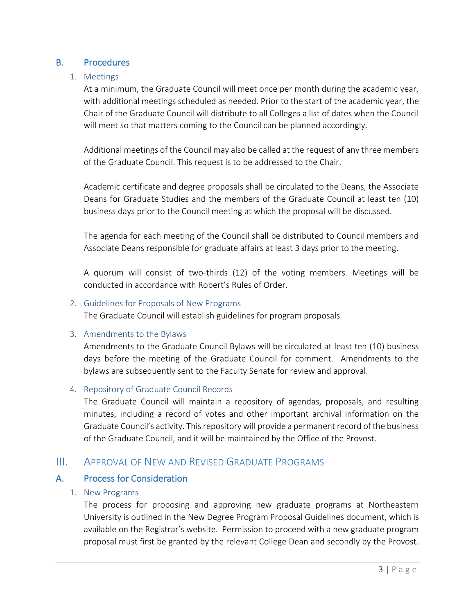# <span id="page-6-1"></span><span id="page-6-0"></span>B. Procedures

## 1. Meetings

At a minimum, the Graduate Council will meet once per month during the academic year, with additional meetings scheduled as needed. Prior to the start of the academic year, the Chair of the Graduate Council will distribute to all Colleges a list of dates when the Council will meet so that matters coming to the Council can be planned accordingly.

Additional meetings of the Council may also be called at the request of any three members of the Graduate Council. This request is to be addressed to the Chair.

Academic certificate and degree proposals shall be circulated to the Deans, the Associate Deans for Graduate Studies and the members of the Graduate Council at least ten (10) business days prior to the Council meeting at which the proposal will be discussed.

The agenda for each meeting of the Council shall be distributed to Council members and Associate Deans responsible for graduate affairs at least 3 days prior to the meeting.

A quorum will consist of two-thirds (12) of the voting members. Meetings will be conducted in accordance with Robert's Rules of Order.

#### <span id="page-6-2"></span>2. Guidelines for Proposals of New Programs

The Graduate Council will establish guidelines for program proposals.

## <span id="page-6-3"></span>3. Amendments to the Bylaws

Amendments to the Graduate Council Bylaws will be circulated at least ten (10) business days before the meeting of the Graduate Council for comment. Amendments to the bylaws are subsequently sent to the Faculty Senate for review and approval.

## <span id="page-6-4"></span>4. Repository of Graduate Council Records

The Graduate Council will maintain a repository of agendas, proposals, and resulting minutes, including a record of votes and other important archival information on the Graduate Council's activity. This repository will provide a permanent record of the business of the Graduate Council, and it will be maintained by the Office of the Provost.

# <span id="page-6-5"></span>III. APPROVAL OF NEW AND REVISED GRADUATE PROGRAMS

## <span id="page-6-7"></span><span id="page-6-6"></span>A. Process for Consideration

## 1. New Programs

The process for proposing and approving new graduate programs at Northeastern University is outlined in the New Degree Program Proposal Guidelines document, which is available on the Registrar's website. Permission to proceed with a new graduate program proposal must first be granted by the relevant College Dean and secondly by the Provost.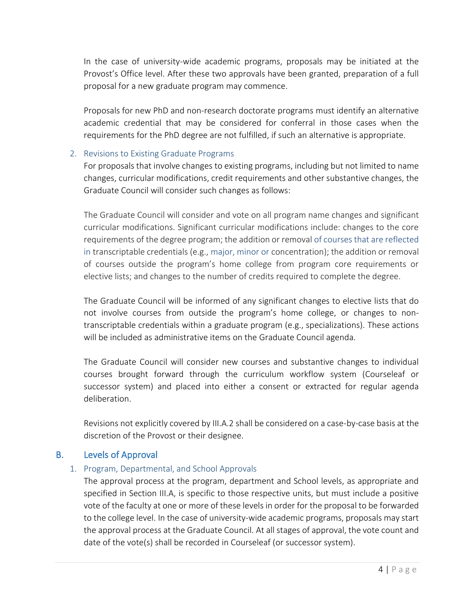In the case of university-wide academic programs, proposals may be initiated at the Provost's Office level. After these two approvals have been granted, preparation of a full proposal for a new graduate program may commence.

Proposals for new PhD and non-research doctorate programs must identify an alternative academic credential that may be considered for conferral in those cases when the requirements for the PhD degree are not fulfilled, if such an alternative is appropriate.

## <span id="page-7-0"></span>2. Revisions to Existing Graduate Programs

For proposals that involve changes to existing programs, including but not limited to name changes, curricular modifications, credit requirements and other substantive changes, the Graduate Council will consider such changes as follows:

The Graduate Council will consider and vote on all program name changes and significant curricular modifications. Significant curricular modifications include: changes to the core requirements of the degree program; the addition or removal of courses that are reflected in transcriptable credentials (e.g., major, minor or concentration); the addition or removal of courses outside the program's home college from program core requirements or elective lists; and changes to the number of credits required to complete the degree.

The Graduate Council will be informed of any significant changes to elective lists that do not involve courses from outside the program's home college, or changes to nontranscriptable credentials within a graduate program (e.g., specializations). These actions will be included as administrative items on the Graduate Council agenda.

The Graduate Council will consider new courses and substantive changes to individual courses brought forward through the curriculum workflow system (Courseleaf or successor system) and placed into either a consent or extracted for regular agenda deliberation.

Revisions not explicitly covered by III.A.2 shall be considered on a case-by-case basis at the discretion of the Provost or their designee.

# <span id="page-7-2"></span><span id="page-7-1"></span>B. Levels of Approval

## 1. Program, Departmental, and School Approvals

The approval process at the program, department and School levels, as appropriate and specified in Section III.A, is specific to those respective units, but must include a positive vote of the faculty at one or more of these levels in order for the proposal to be forwarded to the college level. In the case of university-wide academic programs, proposals may start the approval process at the Graduate Council. At all stages of approval, the vote count and date of the vote(s) shall be recorded in Courseleaf (or successor system).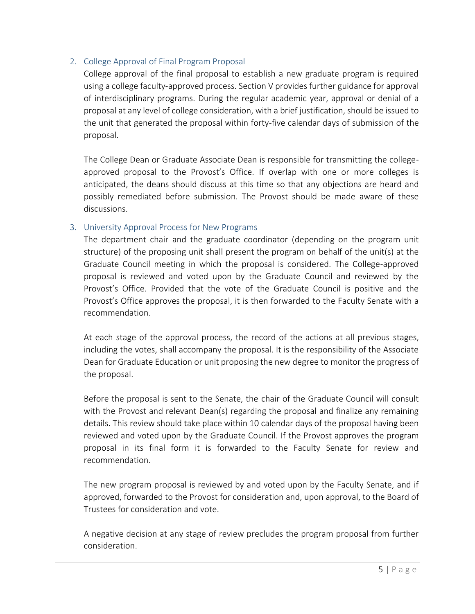## <span id="page-8-0"></span>2. College Approval of Final Program Proposal

College approval of the final proposal to establish a new graduate program is required using a college faculty-approved process. Section V provides further guidance for approval of interdisciplinary programs. During the regular academic year, approval or denial of a proposal at any level of college consideration, with a brief justification, should be issued to the unit that generated the proposal within forty-five calendar days of submission of the proposal.

The College Dean or Graduate Associate Dean is responsible for transmitting the collegeapproved proposal to the Provost's Office. If overlap with one or more colleges is anticipated, the deans should discuss at this time so that any objections are heard and possibly remediated before submission. The Provost should be made aware of these discussions.

## <span id="page-8-1"></span>3. University Approval Process for New Programs

The department chair and the graduate coordinator (depending on the program unit structure) of the proposing unit shall present the program on behalf of the unit(s) at the Graduate Council meeting in which the proposal is considered. The College-approved proposal is reviewed and voted upon by the Graduate Council and reviewed by the Provost's Office. Provided that the vote of the Graduate Council is positive and the Provost's Office approves the proposal, it is then forwarded to the Faculty Senate with a recommendation.

At each stage of the approval process, the record of the actions at all previous stages, including the votes, shall accompany the proposal. It is the responsibility of the Associate Dean for Graduate Education or unit proposing the new degree to monitor the progress of the proposal.

Before the proposal is sent to the Senate, the chair of the Graduate Council will consult with the Provost and relevant Dean(s) regarding the proposal and finalize any remaining details. This review should take place within 10 calendar days of the proposal having been reviewed and voted upon by the Graduate Council. If the Provost approves the program proposal in its final form it is forwarded to the Faculty Senate for review and recommendation.

The new program proposal is reviewed by and voted upon by the Faculty Senate, and if approved, forwarded to the Provost for consideration and, upon approval, to the Board of Trustees for consideration and vote.

A negative decision at any stage of review precludes the program proposal from further consideration.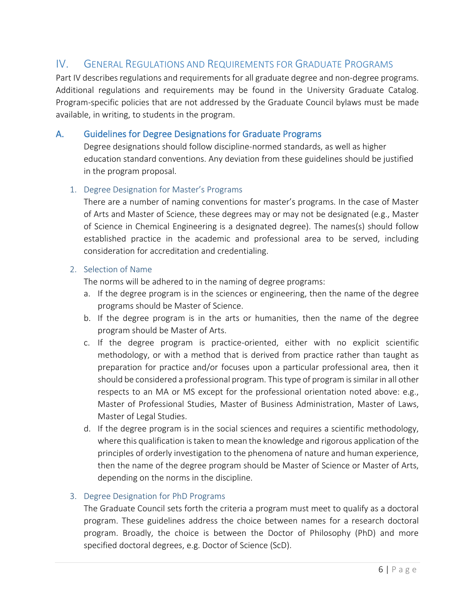# <span id="page-9-0"></span>IV. GENERAL REGULATIONS AND REQUIREMENTS FOR GRADUATE PROGRAMS

Part IV describes regulations and requirements for all graduate degree and non-degree programs. Additional regulations and requirements may be found in the University Graduate Catalog. Program-specific policies that are not addressed by the Graduate Council bylaws must be made available, in writing, to students in the program.

## <span id="page-9-1"></span>A. Guidelines for Degree Designations for Graduate Programs

Degree designations should follow discipline-normed standards, as well as higher education standard conventions. Any deviation from these guidelines should be justified in the program proposal.

#### <span id="page-9-2"></span>1. Degree Designation for Master's Programs

There are a number of naming conventions for master's programs. In the case of Master of Arts and Master of Science, these degrees may or may not be designated (e.g., Master of Science in Chemical Engineering is a designated degree). The names(s) should follow established practice in the academic and professional area to be served, including consideration for accreditation and credentialing.

#### <span id="page-9-3"></span>2. Selection of Name

The norms will be adhered to in the naming of degree programs:

- a. If the degree program is in the sciences or engineering, then the name of the degree programs should be Master of Science.
- b. If the degree program is in the arts or humanities, then the name of the degree program should be Master of Arts.
- c. If the degree program is practice-oriented, either with no explicit scientific methodology, or with a method that is derived from practice rather than taught as preparation for practice and/or focuses upon a particular professional area, then it should be considered a professional program. This type of program is similar in all other respects to an MA or MS except for the professional orientation noted above: e.g., Master of Professional Studies, Master of Business Administration, Master of Laws, Master of Legal Studies.
- d. If the degree program is in the social sciences and requires a scientific methodology, where this qualification is taken to mean the knowledge and rigorous application of the principles of orderly investigation to the phenomena of nature and human experience, then the name of the degree program should be Master of Science or Master of Arts, depending on the norms in the discipline.

## <span id="page-9-4"></span>3. Degree Designation for PhD Programs

The Graduate Council sets forth the criteria a program must meet to qualify as a doctoral program. These guidelines address the choice between names for a research doctoral program. Broadly, the choice is between the Doctor of Philosophy (PhD) and more specified doctoral degrees, e.g. Doctor of Science (ScD).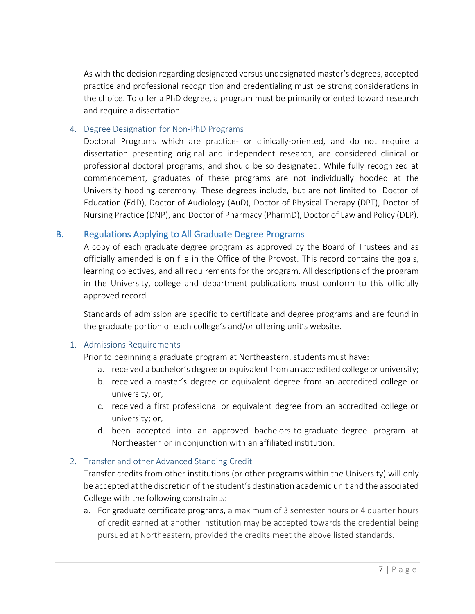As with the decision regarding designated versus undesignated master's degrees, accepted practice and professional recognition and credentialing must be strong considerations in the choice. To offer a PhD degree, a program must be primarily oriented toward research and require a dissertation.

#### <span id="page-10-0"></span>4. Degree Designation for Non-PhD Programs

Doctoral Programs which are practice- or clinically-oriented, and do not require a dissertation presenting original and independent research, are considered clinical or professional doctoral programs, and should be so designated. While fully recognized at commencement, graduates of these programs are not individually hooded at the University hooding ceremony. These degrees include, but are not limited to: Doctor of Education (EdD), Doctor of Audiology (AuD), Doctor of Physical Therapy (DPT), Doctor of Nursing Practice (DNP), and Doctor of Pharmacy (PharmD), Doctor of Law and Policy (DLP).

## <span id="page-10-1"></span>B. Regulations Applying to All Graduate Degree Programs

A copy of each graduate degree program as approved by the Board of Trustees and as officially amended is on file in the Office of the Provost. This record contains the goals, learning objectives, and all requirements for the program. All descriptions of the program in the University, college and department publications must conform to this officially approved record.

Standards of admission are specific to certificate and degree programs and are found in the graduate portion of each college's and/or offering unit's website.

## <span id="page-10-2"></span>1. Admissions Requirements

Prior to beginning a graduate program at Northeastern, students must have:

- a. received a bachelor's degree or equivalent from an accredited college or university;
- b. received a master's degree or equivalent degree from an accredited college or university; or,
- c. received a first professional or equivalent degree from an accredited college or university; or,
- d. been accepted into an approved bachelors-to-graduate-degree program at Northeastern or in conjunction with an affiliated institution.

## <span id="page-10-3"></span>2. Transfer and other Advanced Standing Credit

Transfer credits from other institutions (or other programs within the University) will only be accepted at the discretion of the student's destination academic unit and the associated College with the following constraints:

a. For graduate certificate programs, a maximum of 3 semester hours or 4 quarter hours of credit earned at another institution may be accepted towards the credential being pursued at Northeastern, provided the credits meet the above listed standards.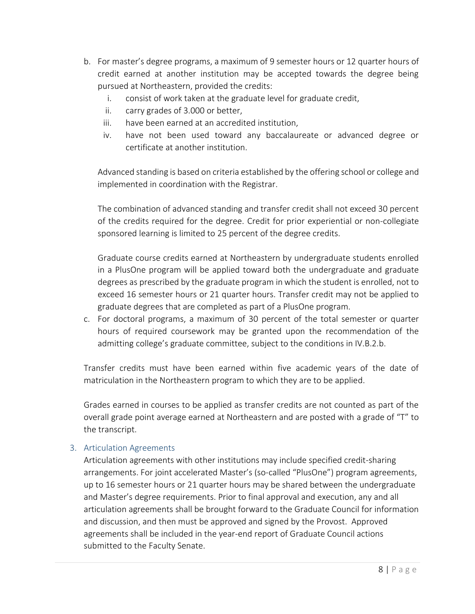- b. For master's degree programs, a maximum of 9 semester hours or 12 quarter hours of credit earned at another institution may be accepted towards the degree being pursued at Northeastern, provided the credits:
	- i. consist of work taken at the graduate level for graduate credit,
	- ii. carry grades of 3.000 or better,
	- iii. have been earned at an accredited institution,
	- iv. have not been used toward any baccalaureate or advanced degree or certificate at another institution.

Advanced standing is based on criteria established by the offering school or college and implemented in coordination with the Registrar.

The combination of advanced standing and transfer credit shall not exceed 30 percent of the credits required for the degree. Credit for prior experiential or non-collegiate sponsored learning is limited to 25 percent of the degree credits.

Graduate course credits earned at Northeastern by undergraduate students enrolled in a PlusOne program will be applied toward both the undergraduate and graduate degrees as prescribed by the graduate program in which the student is enrolled, not to exceed 16 semester hours or 21 quarter hours. Transfer credit may not be applied to graduate degrees that are completed as part of a PlusOne program.

c. For doctoral programs, a maximum of 30 percent of the total semester or quarter hours of required coursework may be granted upon the recommendation of the admitting college's graduate committee, subject to the conditions in IV.B.2.b.

Transfer credits must have been earned within five academic years of the date of matriculation in the Northeastern program to which they are to be applied.

Grades earned in courses to be applied as transfer credits are not counted as part of the overall grade point average earned at Northeastern and are posted with a grade of "T" to the transcript.

# <span id="page-11-0"></span>3. Articulation Agreements

Articulation agreements with other institutions may include specified credit-sharing arrangements. For joint accelerated Master's (so-called "PlusOne") program agreements, up to 16 semester hours or 21 quarter hours may be shared between the undergraduate and Master's degree requirements. Prior to final approval and execution, any and all articulation agreements shall be brought forward to the Graduate Council for information and discussion, and then must be approved and signed by the Provost. Approved agreements shall be included in the year-end report of Graduate Council actions submitted to the Faculty Senate.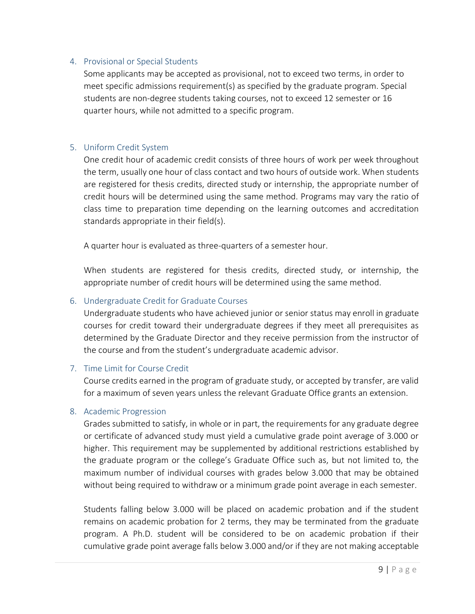#### <span id="page-12-0"></span>4. Provisional or Special Students

Some applicants may be accepted as provisional, not to exceed two terms, in order to meet specific admissions requirement(s) as specified by the graduate program. Special students are non-degree students taking courses, not to exceed 12 semester or 16 quarter hours, while not admitted to a specific program.

## <span id="page-12-1"></span>5. Uniform Credit System

One credit hour of academic credit consists of three hours of work per week throughout the term, usually one hour of class contact and two hours of outside work. When students are registered for thesis credits, directed study or internship, the appropriate number of credit hours will be determined using the same method. Programs may vary the ratio of class time to preparation time depending on the learning outcomes and accreditation standards appropriate in their field(s).

A quarter hour is evaluated as three-quarters of a semester hour.

When students are registered for thesis credits, directed study, or internship, the appropriate number of credit hours will be determined using the same method.

## <span id="page-12-2"></span>6. Undergraduate Credit for Graduate Courses

Undergraduate students who have achieved junior or senior status may enroll in graduate courses for credit toward their undergraduate degrees if they meet all prerequisites as determined by the Graduate Director and they receive permission from the instructor of the course and from the student's undergraduate academic advisor.

## <span id="page-12-3"></span>7. Time Limit for Course Credit

Course credits earned in the program of graduate study, or accepted by transfer, are valid for a maximum of seven years unless the relevant Graduate Office grants an extension.

#### <span id="page-12-4"></span>8. Academic Progression

Grades submitted to satisfy, in whole or in part, the requirements for any graduate degree or certificate of advanced study must yield a cumulative grade point average of 3.000 or higher. This requirement may be supplemented by additional restrictions established by the graduate program or the college's Graduate Office such as, but not limited to, the maximum number of individual courses with grades below 3.000 that may be obtained without being required to withdraw or a minimum grade point average in each semester.

Students falling below 3.000 will be placed on academic probation and if the student remains on academic probation for 2 terms, they may be terminated from the graduate program. A Ph.D. student will be considered to be on academic probation if their cumulative grade point average falls below 3.000 and/or if they are not making acceptable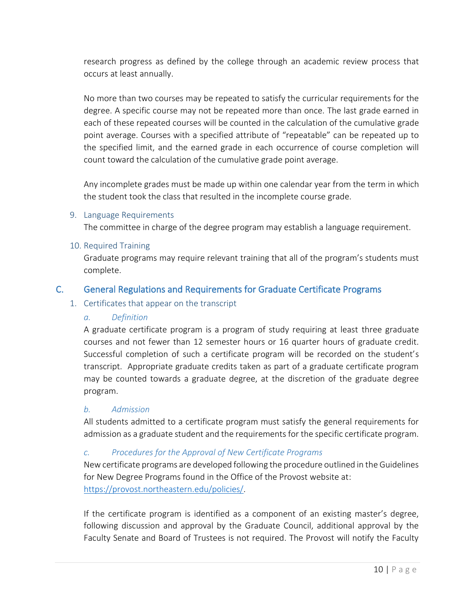research progress as defined by the college through an academic review process that occurs at least annually.

No more than two courses may be repeated to satisfy the curricular requirements for the degree. A specific course may not be repeated more than once. The last grade earned in each of these repeated courses will be counted in the calculation of the cumulative grade point average. Courses with a specified attribute of "repeatable" can be repeated up to the specified limit, and the earned grade in each occurrence of course completion will count toward the calculation of the cumulative grade point average.

Any incomplete grades must be made up within one calendar year from the term in which the student took the class that resulted in the incomplete course grade.

## <span id="page-13-0"></span>9. Language Requirements

The committee in charge of the degree program may establish a language requirement.

#### <span id="page-13-1"></span>10. Required Training

Graduate programs may require relevant training that all of the program's students must complete.

## <span id="page-13-3"></span><span id="page-13-2"></span>C. General Regulations and Requirements for Graduate Certificate Programs

#### 1. Certificates that appear on the transcript

## *a. Definition*

A graduate certificate program is a program of study requiring at least three graduate courses and not fewer than 12 semester hours or 16 quarter hours of graduate credit. Successful completion of such a certificate program will be recorded on the student's transcript. Appropriate graduate credits taken as part of a graduate certificate program may be counted towards a graduate degree, at the discretion of the graduate degree program.

## *b. Admission*

All students admitted to a certificate program must satisfy the general requirements for admission as a graduate student and the requirements for the specific certificate program.

## *c. Procedures for the Approval of New Certificate Programs*

New certificate programs are developed following the procedure outlined in the Guidelines for New Degree Programs found in the Office of the Provost website at: [https://provost.northeastern.edu/policies/.](https://provost.northeastern.edu/policies/)

If the certificate program is identified as a component of an existing master's degree, following discussion and approval by the Graduate Council, additional approval by the Faculty Senate and Board of Trustees is not required. The Provost will notify the Faculty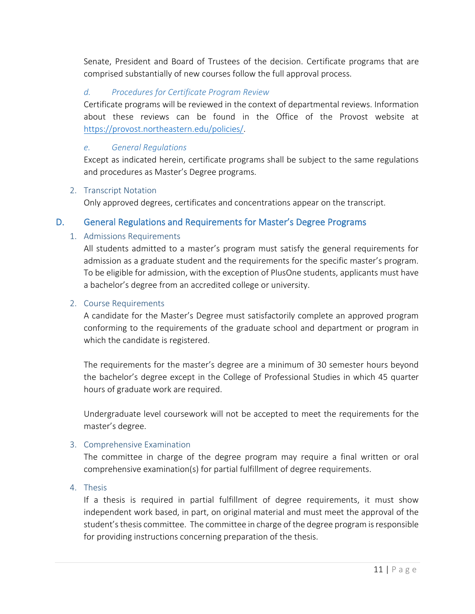Senate, President and Board of Trustees of the decision. Certificate programs that are comprised substantially of new courses follow the full approval process.

# *d. Procedures for Certificate Program Review*

Certificate programs will be reviewed in the context of departmental reviews. Information about these reviews can be found in the Office of the Provost website at [https://provost.northeastern.edu/policies/.](https://provost.northeastern.edu/policies/)

## *e. General Regulations*

Except as indicated herein, certificate programs shall be subject to the same regulations and procedures as Master's Degree programs.

## <span id="page-14-0"></span>2. Transcript Notation

Only approved degrees, certificates and concentrations appear on the transcript.

# <span id="page-14-2"></span><span id="page-14-1"></span>D. General Regulations and Requirements for Master's Degree Programs

## 1. Admissions Requirements

All students admitted to a master's program must satisfy the general requirements for admission as a graduate student and the requirements for the specific master's program. To be eligible for admission, with the exception of PlusOne students, applicants must have a bachelor's degree from an accredited college or university.

## <span id="page-14-3"></span>2. Course Requirements

A candidate for the Master's Degree must satisfactorily complete an approved program conforming to the requirements of the graduate school and department or program in which the candidate is registered.

The requirements for the master's degree are a minimum of 30 semester hours beyond the bachelor's degree except in the College of Professional Studies in which 45 quarter hours of graduate work are required.

Undergraduate level coursework will not be accepted to meet the requirements for the master's degree.

## <span id="page-14-4"></span>3. Comprehensive Examination

The committee in charge of the degree program may require a final written or oral comprehensive examination(s) for partial fulfillment of degree requirements.

## <span id="page-14-5"></span>4. Thesis

If a thesis is required in partial fulfillment of degree requirements, it must show independent work based, in part, on original material and must meet the approval of the student's thesis committee. The committee in charge of the degree program is responsible for providing instructions concerning preparation of the thesis.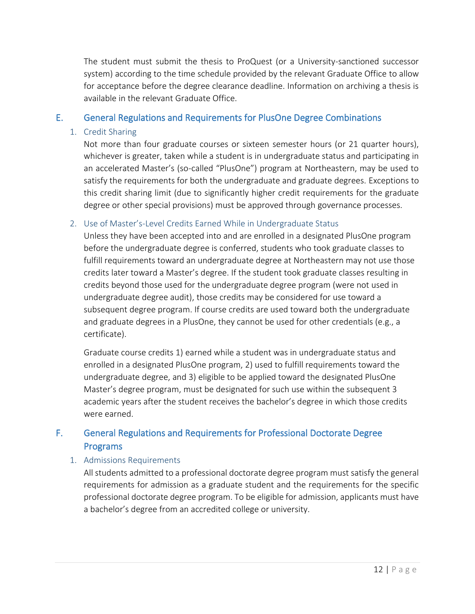The student must submit the thesis to ProQuest (or a University-sanctioned successor system) according to the time schedule provided by the relevant Graduate Office to allow for acceptance before the degree clearance deadline. Information on archiving a thesis is available in the relevant Graduate Office.

# <span id="page-15-1"></span><span id="page-15-0"></span>E. General Regulations and Requirements for PlusOne Degree Combinations

## 1. Credit Sharing

Not more than four graduate courses or sixteen semester hours (or 21 quarter hours), whichever is greater, taken while a student is in undergraduate status and participating in an accelerated Master's (so-called "PlusOne") program at Northeastern, may be used to satisfy the requirements for both the undergraduate and graduate degrees. Exceptions to this credit sharing limit (due to significantly higher credit requirements for the graduate degree or other special provisions) must be approved through governance processes.

# <span id="page-15-2"></span>2. Use of Master's-Level Credits Earned While in Undergraduate Status

Unless they have been accepted into and are enrolled in a designated PlusOne program before the undergraduate degree is conferred, students who took graduate classes to fulfill requirements toward an undergraduate degree at Northeastern may not use those credits later toward a Master's degree. If the student took graduate classes resulting in credits beyond those used for the undergraduate degree program (were not used in undergraduate degree audit), those credits may be considered for use toward a subsequent degree program. If course credits are used toward both the undergraduate and graduate degrees in a PlusOne, they cannot be used for other credentials (e.g., a certificate).

Graduate course credits 1) earned while a student was in undergraduate status and enrolled in a designated PlusOne program, 2) used to fulfill requirements toward the undergraduate degree, and 3) eligible to be applied toward the designated PlusOne Master's degree program, must be designated for such use within the subsequent 3 academic years after the student receives the bachelor's degree in which those credits were earned.

# <span id="page-15-3"></span>F. General Regulations and Requirements for Professional Doctorate Degree Programs

# <span id="page-15-4"></span>1. Admissions Requirements

All students admitted to a professional doctorate degree program must satisfy the general requirements for admission as a graduate student and the requirements for the specific professional doctorate degree program. To be eligible for admission, applicants must have a bachelor's degree from an accredited college or university.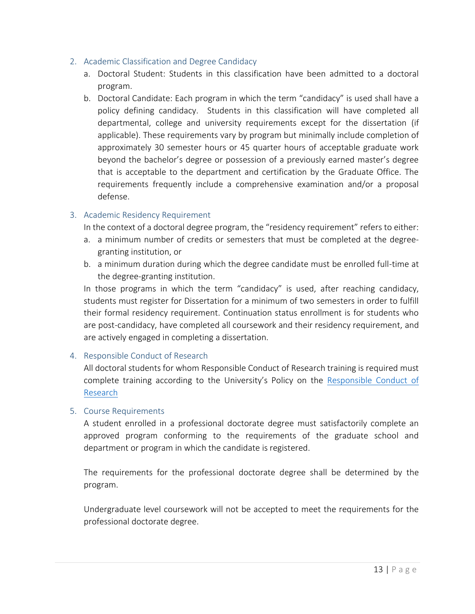## <span id="page-16-0"></span>2. Academic Classification and Degree Candidacy

- a. Doctoral Student: Students in this classification have been admitted to a doctoral program.
- b. Doctoral Candidate: Each program in which the term "candidacy" is used shall have a policy defining candidacy. Students in this classification will have completed all departmental, college and university requirements except for the dissertation (if applicable). These requirements vary by program but minimally include completion of approximately 30 semester hours or 45 quarter hours of acceptable graduate work beyond the bachelor's degree or possession of a previously earned master's degree that is acceptable to the department and certification by the Graduate Office. The requirements frequently include a comprehensive examination and/or a proposal defense.

## <span id="page-16-1"></span>3. Academic Residency Requirement

In the context of a doctoral degree program, the "residency requirement" refers to either:

- a. a minimum number of credits or semesters that must be completed at the degreegranting institution, or
- b. a minimum duration during which the degree candidate must be enrolled full-time at the degree-granting institution.

In those programs in which the term "candidacy" is used, after reaching candidacy, students must register for Dissertation for a minimum of two semesters in order to fulfill their formal residency requirement. Continuation status enrollment is for students who are post-candidacy, have completed all coursework and their residency requirement, and are actively engaged in completing a dissertation.

## <span id="page-16-2"></span>4. Responsible Conduct of Research

All doctoral students for whom Responsible Conduct of Research training is required must complete training according to the University's Policy on the [Responsible Conduct of](https://www.northeastern.edu/policies/Policy_on_Responsible_Conduct_of_Research.pdf)  [Research](https://www.northeastern.edu/policies/Policy_on_Responsible_Conduct_of_Research.pdf)

#### <span id="page-16-3"></span>5. Course Requirements

A student enrolled in a professional doctorate degree must satisfactorily complete an approved program conforming to the requirements of the graduate school and department or program in which the candidate is registered.

The requirements for the professional doctorate degree shall be determined by the program.

Undergraduate level coursework will not be accepted to meet the requirements for the professional doctorate degree.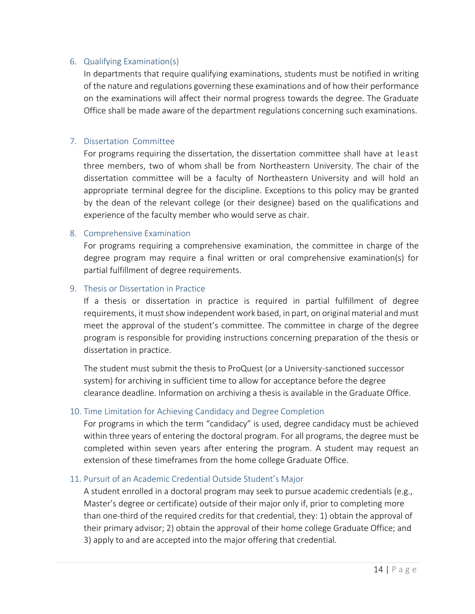#### <span id="page-17-0"></span>6. Qualifying Examination(s)

In departments that require qualifying examinations, students must be notified in writing of the nature and regulations governing these examinations and of how their performance on the examinations will affect their normal progress towards the degree. The Graduate Office shall be made aware of the department regulations concerning such examinations.

#### <span id="page-17-1"></span>7. Dissertation Committee

For programs requiring the dissertation, the dissertation committee shall have at least three members, two of whom shall be from Northeastern University. The chair of the dissertation committee will be a faculty of Northeastern University and will hold an appropriate terminal degree for the discipline. Exceptions to this policy may be granted by the dean of the relevant college (or their designee) based on the qualifications and experience of the faculty member who would serve as chair.

#### <span id="page-17-2"></span>8. Comprehensive Examination

For programs requiring a comprehensive examination, the committee in charge of the degree program may require a final written or oral comprehensive examination(s) for partial fulfillment of degree requirements.

#### <span id="page-17-3"></span>9. Thesis or Dissertation in Practice

If a thesis or dissertation in practice is required in partial fulfillment of degree requirements, it must show independent work based, in part, on original material and must meet the approval of the student's committee. The committee in charge of the degree program is responsible for providing instructions concerning preparation of the thesis or dissertation in practice.

The student must submit the thesis to ProQuest (or a University-sanctioned successor system) for archiving in sufficient time to allow for acceptance before the degree clearance deadline. Information on archiving a thesis is available in the Graduate Office.

## <span id="page-17-4"></span>10. Time Limitation for Achieving Candidacy and Degree Completion

For programs in which the term "candidacy" is used, degree candidacy must be achieved within three years of entering the doctoral program. For all programs, the degree must be completed within seven years after entering the program. A student may request an extension of these timeframes from the home college Graduate Office.

#### <span id="page-17-5"></span>11. Pursuit of an Academic Credential Outside Student's Major

A student enrolled in a doctoral program may seek to pursue academic credentials (e.g., Master's degree or certificate) outside of their major only if, prior to completing more than one-third of the required credits for that credential, they: 1) obtain the approval of their primary advisor; 2) obtain the approval of their home college Graduate Office; and 3) apply to and are accepted into the major offering that credential.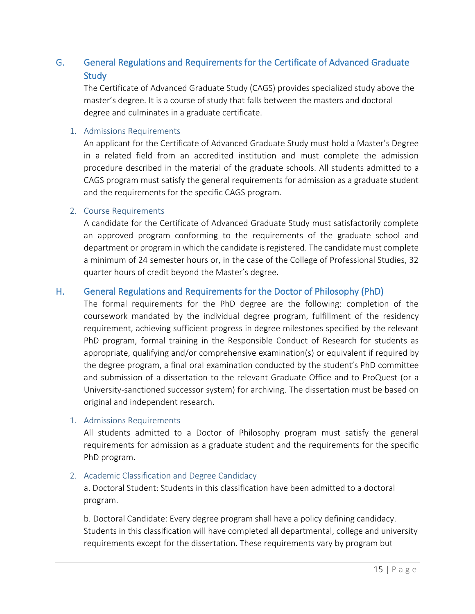# <span id="page-18-0"></span>G. General Regulations and Requirements for the Certificate of Advanced Graduate **Study**

The Certificate of Advanced Graduate Study (CAGS) provides specialized study above the master's degree. It is a course of study that falls between the masters and doctoral degree and culminates in a graduate certificate.

#### <span id="page-18-1"></span>1. Admissions Requirements

An applicant for the Certificate of Advanced Graduate Study must hold a Master's Degree in a related field from an accredited institution and must complete the admission procedure described in the material of the graduate schools. All students admitted to a CAGS program must satisfy the general requirements for admission as a graduate student and the requirements for the specific CAGS program.

#### <span id="page-18-2"></span>2. Course Requirements

A candidate for the Certificate of Advanced Graduate Study must satisfactorily complete an approved program conforming to the requirements of the graduate school and department or program in which the candidate is registered. The candidate must complete a minimum of 24 semester hours or, in the case of the College of Professional Studies, 32 quarter hours of credit beyond the Master's degree.

# <span id="page-18-3"></span>H. General Regulations and Requirements for the Doctor of Philosophy (PhD)

The formal requirements for the PhD degree are the following: completion of the coursework mandated by the individual degree program, fulfillment of the residency requirement, achieving sufficient progress in degree milestones specified by the relevant PhD program, formal training in the Responsible Conduct of Research for students as appropriate, qualifying and/or comprehensive examination(s) or equivalent if required by the degree program, a final oral examination conducted by the student's PhD committee and submission of a dissertation to the relevant Graduate Office and to ProQuest (or a University-sanctioned successor system) for archiving. The dissertation must be based on original and independent research.

#### <span id="page-18-4"></span>1. Admissions Requirements

All students admitted to a Doctor of Philosophy program must satisfy the general requirements for admission as a graduate student and the requirements for the specific PhD program.

## <span id="page-18-5"></span>2. Academic Classification and Degree Candidacy

a. Doctoral Student: Students in this classification have been admitted to a doctoral program.

b. Doctoral Candidate: Every degree program shall have a policy defining candidacy. Students in this classification will have completed all departmental, college and university requirements except for the dissertation. These requirements vary by program but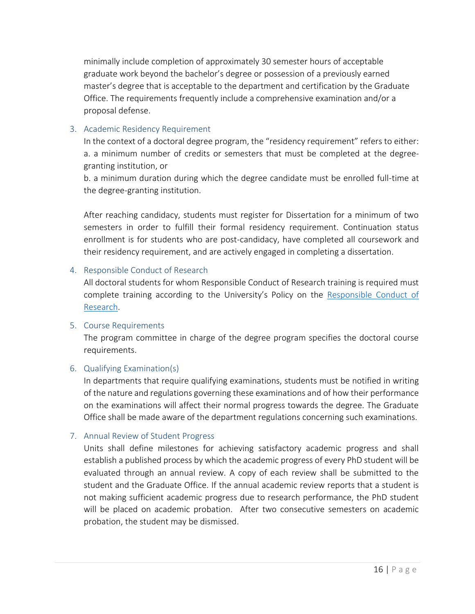minimally include completion of approximately 30 semester hours of acceptable graduate work beyond the bachelor's degree or possession of a previously earned master's degree that is acceptable to the department and certification by the Graduate Office. The requirements frequently include a comprehensive examination and/or a proposal defense.

## <span id="page-19-0"></span>3. Academic Residency Requirement

In the context of a doctoral degree program, the "residency requirement" refers to either: a. a minimum number of credits or semesters that must be completed at the degreegranting institution, or

b. a minimum duration during which the degree candidate must be enrolled full-time at the degree-granting institution.

After reaching candidacy, students must register for Dissertation for a minimum of two semesters in order to fulfill their formal residency requirement. Continuation status enrollment is for students who are post-candidacy, have completed all coursework and their residency requirement, and are actively engaged in completing a dissertation.

## <span id="page-19-1"></span>4. Responsible Conduct of Research

All doctoral students for whom Responsible Conduct of Research training is required must complete training according to the University's Policy on the [Responsible Conduct of](https://www.northeastern.edu/policies/Policy_on_Responsible_Conduct_of_Research.pdf)  [Research.](https://www.northeastern.edu/policies/Policy_on_Responsible_Conduct_of_Research.pdf)

## <span id="page-19-2"></span>5. Course Requirements

The program committee in charge of the degree program specifies the doctoral course requirements.

# <span id="page-19-3"></span>6. Qualifying Examination(s)

In departments that require qualifying examinations, students must be notified in writing of the nature and regulations governing these examinations and of how their performance on the examinations will affect their normal progress towards the degree. The Graduate Office shall be made aware of the department regulations concerning such examinations.

## <span id="page-19-4"></span>7. Annual Review of Student Progress

Units shall define milestones for achieving satisfactory academic progress and shall establish a published process by which the academic progress of every PhD student will be evaluated through an annual review. A copy of each review shall be submitted to the student and the Graduate Office. If the annual academic review reports that a student is not making sufficient academic progress due to research performance, the PhD student will be placed on academic probation. After two consecutive semesters on academic probation, the student may be dismissed.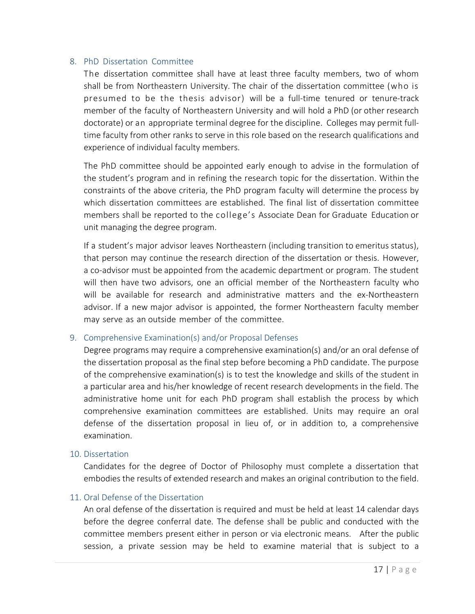#### <span id="page-20-0"></span>8. PhD Dissertation Committee

The dissertation committee shall have at least three faculty members, two of whom shall be from Northeastern University. The chair of the dissertation committee (who is presumed to be the thesis advisor) will be a full-time tenured or tenure-track member of the faculty of Northeastern University and will hold a PhD (or other research doctorate) or an appropriate terminal degree for the discipline. Colleges may permit fulltime faculty from other ranks to serve in this role based on the research qualifications and experience of individual faculty members.

The PhD committee should be appointed early enough to advise in the formulation of the student's program and in refining the research topic for the dissertation. Within the constraints of the above criteria, the PhD program faculty will determine the process by which dissertation committees are established. The final list of dissertation committee members shall be reported to the college's Associate Dean for Graduate Education or unit managing the degree program.

If a student's major advisor leaves Northeastern (including transition to emeritus status), that person may continue the research direction of the dissertation or thesis. However, a co-advisor must be appointed from the academic department or program. The student will then have two advisors, one an official member of the Northeastern faculty who will be available for research and administrative matters and the ex-Northeastern advisor. If a new major advisor is appointed, the former Northeastern faculty member may serve as an outside member of the committee.

#### <span id="page-20-1"></span>9. Comprehensive Examination(s) and/or Proposal Defenses

Degree programs may require a comprehensive examination(s) and/or an oral defense of the dissertation proposal as the final step before becoming a PhD candidate. The purpose of the comprehensive examination(s) is to test the knowledge and skills of the student in a particular area and his/her knowledge of recent research developments in the field. The administrative home unit for each PhD program shall establish the process by which comprehensive examination committees are established. Units may require an oral defense of the dissertation proposal in lieu of, or in addition to, a comprehensive examination.

#### <span id="page-20-2"></span>10. Dissertation

Candidates for the degree of Doctor of Philosophy must complete a dissertation that embodies the results of extended research and makes an original contribution to the field.

## <span id="page-20-3"></span>11. Oral Defense of the Dissertation

An oral defense of the dissertation is required and must be held at least 14 calendar days before the degree conferral date. The defense shall be public and conducted with the committee members present either in person or via electronic means. After the public session, a private session may be held to examine material that is subject to a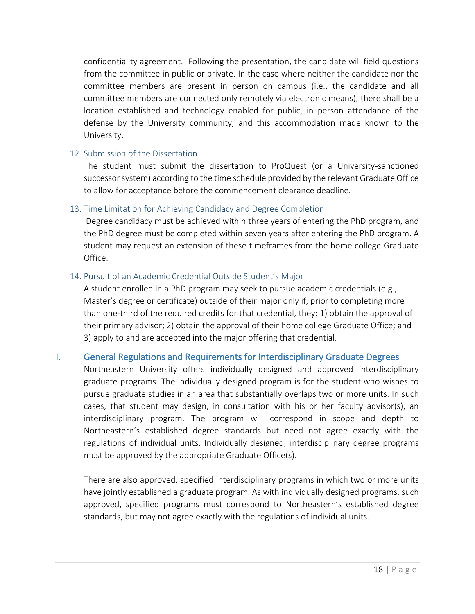confidentiality agreement. Following the presentation, the candidate will field questions from the committee in public or private. In the case where neither the candidate nor the committee members are present in person on campus (i.e., the candidate and all committee members are connected only remotely via electronic means), there shall be a location established and technology enabled for public, in person attendance of the defense by the University community, and this accommodation made known to the University.

## <span id="page-21-0"></span>12. Submission of the Dissertation

The student must submit the dissertation to ProQuest (or a University-sanctioned successor system) according to the time schedule provided by the relevant Graduate Office to allow for acceptance before the commencement clearance deadline.

## <span id="page-21-1"></span>13. Time Limitation for Achieving Candidacy and Degree Completion

Degree candidacy must be achieved within three years of entering the PhD program, and the PhD degree must be completed within seven years after entering the PhD program. A student may request an extension of these timeframes from the home college Graduate Office.

## <span id="page-21-2"></span>14. Pursuit of an Academic Credential Outside Student's Major

A student enrolled in a PhD program may seek to pursue academic credentials (e.g., Master's degree or certificate) outside of their major only if, prior to completing more than one-third of the required credits for that credential, they: 1) obtain the approval of their primary advisor; 2) obtain the approval of their home college Graduate Office; and 3) apply to and are accepted into the major offering that credential.

# <span id="page-21-3"></span>I. General Regulations and Requirements for Interdisciplinary Graduate Degrees

Northeastern University offers individually designed and approved interdisciplinary graduate programs. The individually designed program is for the student who wishes to pursue graduate studies in an area that substantially overlaps two or more units. In such cases, that student may design, in consultation with his or her faculty advisor(s), an interdisciplinary program. The program will correspond in scope and depth to Northeastern's established degree standards but need not agree exactly with the regulations of individual units. Individually designed, interdisciplinary degree programs must be approved by the appropriate Graduate Office(s).

There are also approved, specified interdisciplinary programs in which two or more units have jointly established a graduate program. As with individually designed programs, such approved, specified programs must correspond to Northeastern's established degree standards, but may not agree exactly with the regulations of individual units.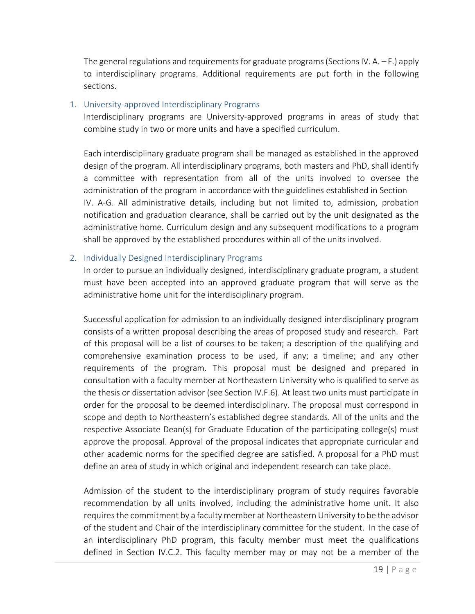The general regulations and requirements for graduate programs (Sections IV.  $A - F$ .) apply to interdisciplinary programs. Additional requirements are put forth in the following sections.

#### <span id="page-22-0"></span>1. University-approved Interdisciplinary Programs

Interdisciplinary programs are University-approved programs in areas of study that combine study in two or more units and have a specified curriculum.

Each interdisciplinary graduate program shall be managed as established in the approved design of the program. All interdisciplinary programs, both masters and PhD, shall identify a committee with representation from all of the units involved to oversee the administration of the program in accordance with the guidelines established in Section IV. A-G. All administrative details, including but not limited to, admission, probation notification and graduation clearance, shall be carried out by the unit designated as the administrative home. Curriculum design and any subsequent modifications to a program shall be approved by the established procedures within all of the units involved.

## <span id="page-22-1"></span>2. Individually Designed Interdisciplinary Programs

In order to pursue an individually designed, interdisciplinary graduate program, a student must have been accepted into an approved graduate program that will serve as the administrative home unit for the interdisciplinary program.

Successful application for admission to an individually designed interdisciplinary program consists of a written proposal describing the areas of proposed study and research. Part of this proposal will be a list of courses to be taken; a description of the qualifying and comprehensive examination process to be used, if any; a timeline; and any other requirements of the program. This proposal must be designed and prepared in consultation with a faculty member at Northeastern University who is qualified to serve as the thesis or dissertation advisor (see Section IV.F.6). At least two units must participate in order for the proposal to be deemed interdisciplinary. The proposal must correspond in scope and depth to Northeastern's established degree standards. All of the units and the respective Associate Dean(s) for Graduate Education of the participating college(s) must approve the proposal. Approval of the proposal indicates that appropriate curricular and other academic norms for the specified degree are satisfied. A proposal for a PhD must define an area of study in which original and independent research can take place.

Admission of the student to the interdisciplinary program of study requires favorable recommendation by all units involved, including the administrative home unit. It also requires the commitment by a faculty member at Northeastern University to be the advisor of the student and Chair of the interdisciplinary committee for the student. In the case of an interdisciplinary PhD program, this faculty member must meet the qualifications defined in Section IV.C.2. This faculty member may or may not be a member of the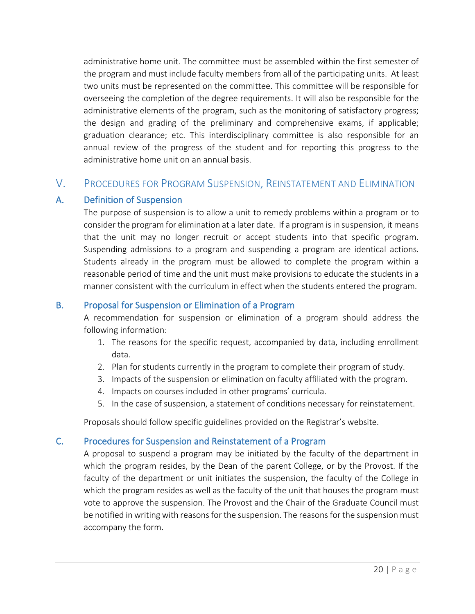administrative home unit. The committee must be assembled within the first semester of the program and must include faculty members from all of the participating units. At least two units must be represented on the committee. This committee will be responsible for overseeing the completion of the degree requirements. It will also be responsible for the administrative elements of the program, such as the monitoring of satisfactory progress; the design and grading of the preliminary and comprehensive exams, if applicable; graduation clearance; etc. This interdisciplinary committee is also responsible for an annual review of the progress of the student and for reporting this progress to the administrative home unit on an annual basis.

# <span id="page-23-0"></span>V. PROCEDURES FOR PROGRAM SUSPENSION, REINSTATEMENT AND ELIMINATION

## <span id="page-23-1"></span>A. Definition of Suspension

The purpose of suspension is to allow a unit to remedy problems within a program or to consider the program for elimination at a later date. If a program is in suspension, it means that the unit may no longer recruit or accept students into that specific program. Suspending admissions to a program and suspending a program are identical actions. Students already in the program must be allowed to complete the program within a reasonable period of time and the unit must make provisions to educate the students in a manner consistent with the curriculum in effect when the students entered the program.

## <span id="page-23-2"></span>B. Proposal for Suspension or Elimination of a Program

A recommendation for suspension or elimination of a program should address the following information:

- 1. The reasons for the specific request, accompanied by data, including enrollment data.
- 2. Plan for students currently in the program to complete their program of study.
- 3. Impacts of the suspension or elimination on faculty affiliated with the program.
- 4. Impacts on courses included in other programs' curricula.
- 5. In the case of suspension, a statement of conditions necessary for reinstatement.

Proposals should follow specific guidelines provided on the Registrar's website.

# <span id="page-23-3"></span>C. Procedures for Suspension and Reinstatement of a Program

A proposal to suspend a program may be initiated by the faculty of the department in which the program resides, by the Dean of the parent College, or by the Provost. If the faculty of the department or unit initiates the suspension, the faculty of the College in which the program resides as well as the faculty of the unit that houses the program must vote to approve the suspension. The Provost and the Chair of the Graduate Council must be notified in writing with reasons for the suspension. The reasons for the suspension must accompany the form.